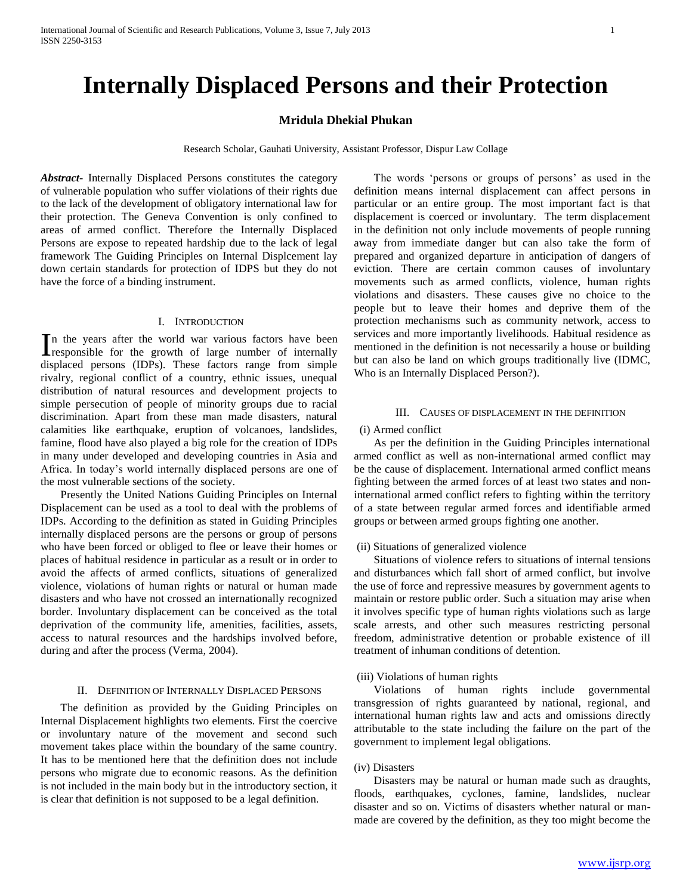# **Internally Displaced Persons and their Protection**

# **Mridula Dhekial Phukan**

Research Scholar, Gauhati University, Assistant Professor, Dispur Law Collage

*Abstract***-** Internally Displaced Persons constitutes the category of vulnerable population who suffer violations of their rights due to the lack of the development of obligatory international law for their protection. The Geneva Convention is only confined to areas of armed conflict. Therefore the Internally Displaced Persons are expose to repeated hardship due to the lack of legal framework The Guiding Principles on Internal Displcement lay down certain standards for protection of IDPS but they do not have the force of a binding instrument.

## I. INTRODUCTION

n the years after the world war various factors have been In the years after the world war various factors have been responsible for the growth of large number of internally displaced persons (IDPs). These factors range from simple rivalry, regional conflict of a country, ethnic issues, unequal distribution of natural resources and development projects to simple persecution of people of minority groups due to racial discrimination. Apart from these man made disasters, natural calamities like earthquake, eruption of volcanoes, landslides, famine, flood have also played a big role for the creation of IDPs in many under developed and developing countries in Asia and Africa. In today's world internally displaced persons are one of the most vulnerable sections of the society.

 Presently the United Nations Guiding Principles on Internal Displacement can be used as a tool to deal with the problems of IDPs. According to the definition as stated in Guiding Principles internally displaced persons are the persons or group of persons who have been forced or obliged to flee or leave their homes or places of habitual residence in particular as a result or in order to avoid the affects of armed conflicts, situations of generalized violence, violations of human rights or natural or human made disasters and who have not crossed an internationally recognized border. Involuntary displacement can be conceived as the total deprivation of the community life, amenities, facilities, assets, access to natural resources and the hardships involved before, during and after the process (Verma, 2004).

#### II. DEFINITION OF INTERNALLY DISPLACED PERSONS

 The definition as provided by the Guiding Principles on Internal Displacement highlights two elements. First the coercive or involuntary nature of the movement and second such movement takes place within the boundary of the same country. It has to be mentioned here that the definition does not include persons who migrate due to economic reasons. As the definition is not included in the main body but in the introductory section, it is clear that definition is not supposed to be a legal definition.

 The words 'persons or groups of persons' as used in the definition means internal displacement can affect persons in particular or an entire group. The most important fact is that displacement is coerced or involuntary. The term displacement in the definition not only include movements of people running away from immediate danger but can also take the form of prepared and organized departure in anticipation of dangers of eviction. There are certain common causes of involuntary movements such as armed conflicts, violence, human rights violations and disasters. These causes give no choice to the people but to leave their homes and deprive them of the protection mechanisms such as community network, access to services and more importantly livelihoods. Habitual residence as mentioned in the definition is not necessarily a house or building but can also be land on which groups traditionally live (IDMC, Who is an Internally Displaced Person?).

#### III. CAUSES OF DISPLACEMENT IN THE DEFINITION

#### (i) Armed conflict

 As per the definition in the Guiding Principles international armed conflict as well as non-international armed conflict may be the cause of displacement. International armed conflict means fighting between the armed forces of at least two states and noninternational armed conflict refers to fighting within the territory of a state between regular armed forces and identifiable armed groups or between armed groups fighting one another.

#### (ii) Situations of generalized violence

 Situations of violence refers to situations of internal tensions and disturbances which fall short of armed conflict, but involve the use of force and repressive measures by government agents to maintain or restore public order. Such a situation may arise when it involves specific type of human rights violations such as large scale arrests, and other such measures restricting personal freedom, administrative detention or probable existence of ill treatment of inhuman conditions of detention.

#### (iii) Violations of human rights

 Violations of human rights include governmental transgression of rights guaranteed by national, regional, and international human rights law and acts and omissions directly attributable to the state including the failure on the part of the government to implement legal obligations.

### (iv) Disasters

 Disasters may be natural or human made such as draughts, floods, earthquakes, cyclones, famine, landslides, nuclear disaster and so on. Victims of disasters whether natural or manmade are covered by the definition, as they too might become the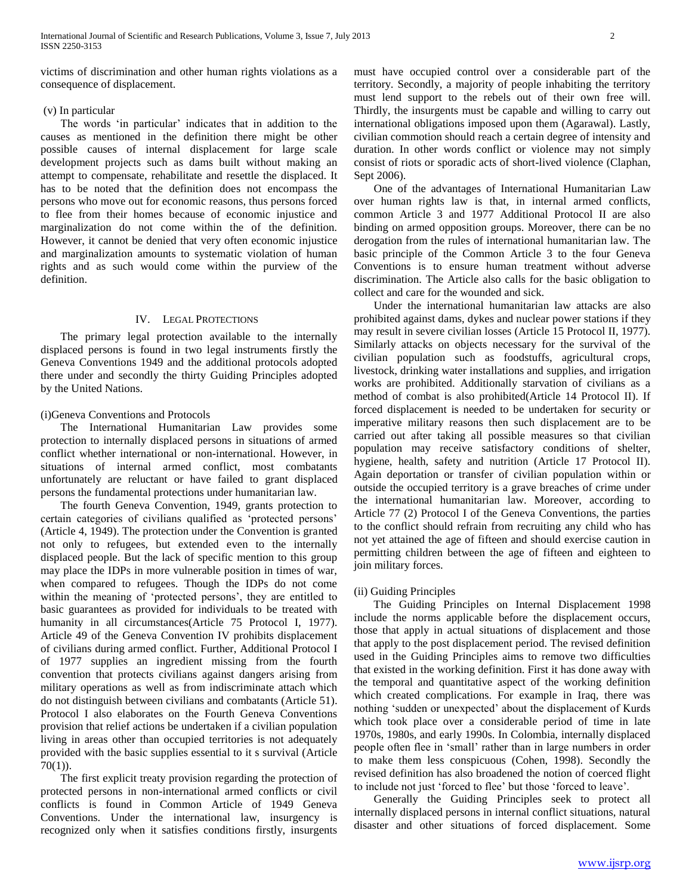victims of discrimination and other human rights violations as a consequence of displacement.

## (v) In particular

 The words 'in particular' indicates that in addition to the causes as mentioned in the definition there might be other possible causes of internal displacement for large scale development projects such as dams built without making an attempt to compensate, rehabilitate and resettle the displaced. It has to be noted that the definition does not encompass the persons who move out for economic reasons, thus persons forced to flee from their homes because of economic injustice and marginalization do not come within the of the definition. However, it cannot be denied that very often economic injustice and marginalization amounts to systematic violation of human rights and as such would come within the purview of the definition.

## IV. LEGAL PROTECTIONS

 The primary legal protection available to the internally displaced persons is found in two legal instruments firstly the Geneva Conventions 1949 and the additional protocols adopted there under and secondly the thirty Guiding Principles adopted by the United Nations.

## (i)Geneva Conventions and Protocols

 The International Humanitarian Law provides some protection to internally displaced persons in situations of armed conflict whether international or non-international. However, in situations of internal armed conflict, most combatants unfortunately are reluctant or have failed to grant displaced persons the fundamental protections under humanitarian law.

 The fourth Geneva Convention, 1949, grants protection to certain categories of civilians qualified as 'protected persons' (Article 4, 1949). The protection under the Convention is granted not only to refugees, but extended even to the internally displaced people. But the lack of specific mention to this group may place the IDPs in more vulnerable position in times of war, when compared to refugees. Though the IDPs do not come within the meaning of 'protected persons', they are entitled to basic guarantees as provided for individuals to be treated with humanity in all circumstances(Article 75 Protocol I, 1977). Article 49 of the Geneva Convention IV prohibits displacement of civilians during armed conflict. Further, Additional Protocol I of 1977 supplies an ingredient missing from the fourth convention that protects civilians against dangers arising from military operations as well as from indiscriminate attach which do not distinguish between civilians and combatants (Article 51). Protocol I also elaborates on the Fourth Geneva Conventions provision that relief actions be undertaken if a civilian population living in areas other than occupied territories is not adequately provided with the basic supplies essential to it s survival (Article 70(1)).

 The first explicit treaty provision regarding the protection of protected persons in non-international armed conflicts or civil conflicts is found in Common Article of 1949 Geneva Conventions. Under the international law, insurgency is recognized only when it satisfies conditions firstly, insurgents must have occupied control over a considerable part of the territory. Secondly, a majority of people inhabiting the territory must lend support to the rebels out of their own free will. Thirdly, the insurgents must be capable and willing to carry out international obligations imposed upon them (Agarawal). Lastly, civilian commotion should reach a certain degree of intensity and duration. In other words conflict or violence may not simply consist of riots or sporadic acts of short-lived violence (Claphan, Sept 2006).

 One of the advantages of International Humanitarian Law over human rights law is that, in internal armed conflicts, common Article 3 and 1977 Additional Protocol II are also binding on armed opposition groups. Moreover, there can be no derogation from the rules of international humanitarian law. The basic principle of the Common Article 3 to the four Geneva Conventions is to ensure human treatment without adverse discrimination. The Article also calls for the basic obligation to collect and care for the wounded and sick.

 Under the international humanitarian law attacks are also prohibited against dams, dykes and nuclear power stations if they may result in severe civilian losses (Article 15 Protocol II, 1977). Similarly attacks on objects necessary for the survival of the civilian population such as foodstuffs, agricultural crops, livestock, drinking water installations and supplies, and irrigation works are prohibited. Additionally starvation of civilians as a method of combat is also prohibited(Article 14 Protocol II). If forced displacement is needed to be undertaken for security or imperative military reasons then such displacement are to be carried out after taking all possible measures so that civilian population may receive satisfactory conditions of shelter, hygiene, health, safety and nutrition (Article 17 Protocol II). Again deportation or transfer of civilian population within or outside the occupied territory is a grave breaches of crime under the international humanitarian law. Moreover, according to Article 77 (2) Protocol I of the Geneva Conventions, the parties to the conflict should refrain from recruiting any child who has not yet attained the age of fifteen and should exercise caution in permitting children between the age of fifteen and eighteen to join military forces.

#### (ii) Guiding Principles

 The Guiding Principles on Internal Displacement 1998 include the norms applicable before the displacement occurs, those that apply in actual situations of displacement and those that apply to the post displacement period. The revised definition used in the Guiding Principles aims to remove two difficulties that existed in the working definition. First it has done away with the temporal and quantitative aspect of the working definition which created complications. For example in Iraq, there was nothing 'sudden or unexpected' about the displacement of Kurds which took place over a considerable period of time in late 1970s, 1980s, and early 1990s. In Colombia, internally displaced people often flee in 'small' rather than in large numbers in order to make them less conspicuous (Cohen, 1998). Secondly the revised definition has also broadened the notion of coerced flight to include not just 'forced to flee' but those 'forced to leave'.

 Generally the Guiding Principles seek to protect all internally displaced persons in internal conflict situations, natural disaster and other situations of forced displacement. Some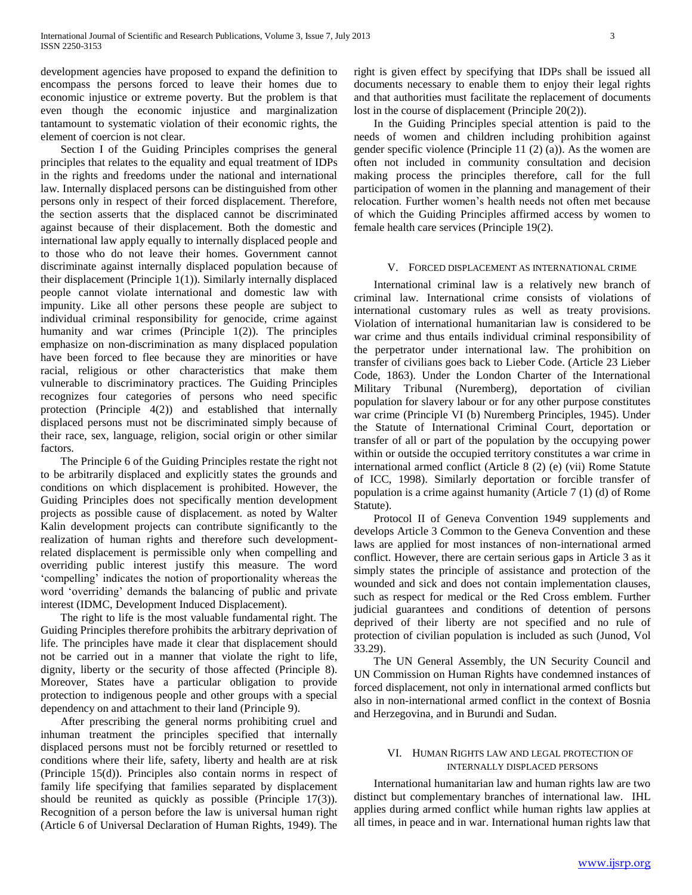development agencies have proposed to expand the definition to encompass the persons forced to leave their homes due to economic injustice or extreme poverty. But the problem is that even though the economic injustice and marginalization tantamount to systematic violation of their economic rights, the element of coercion is not clear.

 Section I of the Guiding Principles comprises the general principles that relates to the equality and equal treatment of IDPs in the rights and freedoms under the national and international law. Internally displaced persons can be distinguished from other persons only in respect of their forced displacement. Therefore, the section asserts that the displaced cannot be discriminated against because of their displacement. Both the domestic and international law apply equally to internally displaced people and to those who do not leave their homes. Government cannot discriminate against internally displaced population because of their displacement (Principle 1(1)). Similarly internally displaced people cannot violate international and domestic law with impunity. Like all other persons these people are subject to individual criminal responsibility for genocide, crime against humanity and war crimes (Principle 1(2)). The principles emphasize on non-discrimination as many displaced population have been forced to flee because they are minorities or have racial, religious or other characteristics that make them vulnerable to discriminatory practices. The Guiding Principles recognizes four categories of persons who need specific protection (Principle 4(2)) and established that internally displaced persons must not be discriminated simply because of their race, sex, language, religion, social origin or other similar factors.

 The Principle 6 of the Guiding Principles restate the right not to be arbitrarily displaced and explicitly states the grounds and conditions on which displacement is prohibited. However, the Guiding Principles does not specifically mention development projects as possible cause of displacement. as noted by Walter Kalin development projects can contribute significantly to the realization of human rights and therefore such developmentrelated displacement is permissible only when compelling and overriding public interest justify this measure. The word 'compelling' indicates the notion of proportionality whereas the word 'overriding' demands the balancing of public and private interest (IDMC, Development Induced Displacement).

 The right to life is the most valuable fundamental right. The Guiding Principles therefore prohibits the arbitrary deprivation of life. The principles have made it clear that displacement should not be carried out in a manner that violate the right to life, dignity, liberty or the security of those affected (Principle 8). Moreover, States have a particular obligation to provide protection to indigenous people and other groups with a special dependency on and attachment to their land (Principle 9).

 After prescribing the general norms prohibiting cruel and inhuman treatment the principles specified that internally displaced persons must not be forcibly returned or resettled to conditions where their life, safety, liberty and health are at risk (Principle 15(d)). Principles also contain norms in respect of family life specifying that families separated by displacement should be reunited as quickly as possible (Principle 17(3)). Recognition of a person before the law is universal human right (Article 6 of Universal Declaration of Human Rights, 1949). The

right is given effect by specifying that IDPs shall be issued all documents necessary to enable them to enjoy their legal rights and that authorities must facilitate the replacement of documents lost in the course of displacement (Principle 20(2)).

 In the Guiding Principles special attention is paid to the needs of women and children including prohibition against gender specific violence (Principle 11 (2) (a)). As the women are often not included in community consultation and decision making process the principles therefore, call for the full participation of women in the planning and management of their relocation. Further women's health needs not often met because of which the Guiding Principles affirmed access by women to female health care services (Principle 19(2).

#### V. FORCED DISPLACEMENT AS INTERNATIONAL CRIME

 International criminal law is a relatively new branch of criminal law. International crime consists of violations of international customary rules as well as treaty provisions. Violation of international humanitarian law is considered to be war crime and thus entails individual criminal responsibility of the perpetrator under international law. The prohibition on transfer of civilians goes back to Lieber Code. (Article 23 Lieber Code, 1863). Under the London Charter of the International Military Tribunal (Nuremberg), deportation of civilian population for slavery labour or for any other purpose constitutes war crime (Principle VI (b) Nuremberg Principles, 1945). Under the Statute of International Criminal Court, deportation or transfer of all or part of the population by the occupying power within or outside the occupied territory constitutes a war crime in international armed conflict (Article 8 (2) (e) (vii) Rome Statute of ICC, 1998). Similarly deportation or forcible transfer of population is a crime against humanity (Article 7 (1) (d) of Rome Statute).

 Protocol II of Geneva Convention 1949 supplements and develops Article 3 Common to the Geneva Convention and these laws are applied for most instances of non-international armed conflict. However, there are certain serious gaps in Article 3 as it simply states the principle of assistance and protection of the wounded and sick and does not contain implementation clauses, such as respect for medical or the Red Cross emblem. Further judicial guarantees and conditions of detention of persons deprived of their liberty are not specified and no rule of protection of civilian population is included as such (Junod, Vol 33.29).

 The UN General Assembly, the UN Security Council and UN Commission on Human Rights have condemned instances of forced displacement, not only in international armed conflicts but also in non-international armed conflict in the context of Bosnia and Herzegovina, and in Burundi and Sudan.

### VI. HUMAN RIGHTS LAW AND LEGAL PROTECTION OF INTERNALLY DISPLACED PERSONS

 International humanitarian law and human rights law are two distinct but complementary branches of international law. IHL applies during armed conflict while human rights law applies at all times, in peace and in war. International human rights law that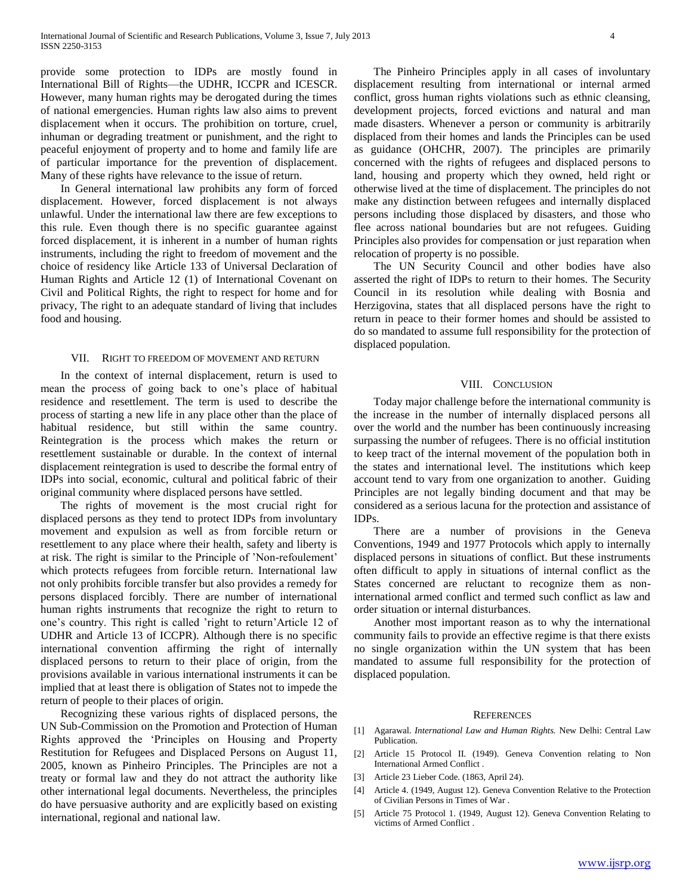provide some protection to IDPs are mostly found in International Bill of Rights—the UDHR, ICCPR and ICESCR. However, many human rights may be derogated during the times of national emergencies. Human rights law also aims to prevent displacement when it occurs. The prohibition on torture, cruel, inhuman or degrading treatment or punishment, and the right to peaceful enjoyment of property and to home and family life are of particular importance for the prevention of displacement. Many of these rights have relevance to the issue of return.

 In General international law prohibits any form of forced displacement. However, forced displacement is not always unlawful. Under the international law there are few exceptions to this rule. Even though there is no specific guarantee against forced displacement, it is inherent in a number of human rights instruments, including the right to freedom of movement and the choice of residency like Article 133 of Universal Declaration of Human Rights and Article 12 (1) of International Covenant on Civil and Political Rights, the right to respect for home and for privacy, The right to an adequate standard of living that includes food and housing.

#### VII. RIGHT TO FREEDOM OF MOVEMENT AND RETURN

 In the context of internal displacement, return is used to mean the process of going back to one's place of habitual residence and resettlement. The term is used to describe the process of starting a new life in any place other than the place of habitual residence, but still within the same country. Reintegration is the process which makes the return or resettlement sustainable or durable. In the context of internal displacement reintegration is used to describe the formal entry of IDPs into social, economic, cultural and political fabric of their original community where displaced persons have settled.

 The rights of movement is the most crucial right for displaced persons as they tend to protect IDPs from involuntary movement and expulsion as well as from forcible return or resettlement to any place where their health, safety and liberty is at risk. The right is similar to the Principle of 'Non-refoulement' which protects refugees from forcible return. International law not only prohibits forcible transfer but also provides a remedy for persons displaced forcibly. There are number of international human rights instruments that recognize the right to return to one's country. This right is called 'right to return'Article 12 of UDHR and Article 13 of ICCPR). Although there is no specific international convention affirming the right of internally displaced persons to return to their place of origin, from the provisions available in various international instruments it can be implied that at least there is obligation of States not to impede the return of people to their places of origin.

 Recognizing these various rights of displaced persons, the UN Sub-Commission on the Promotion and Protection of Human Rights approved the 'Principles on Housing and Property Restitution for Refugees and Displaced Persons on August 11, 2005, known as Pinheiro Principles. The Principles are not a treaty or formal law and they do not attract the authority like other international legal documents. Nevertheless, the principles do have persuasive authority and are explicitly based on existing international, regional and national law.

 The Pinheiro Principles apply in all cases of involuntary displacement resulting from international or internal armed conflict, gross human rights violations such as ethnic cleansing, development projects, forced evictions and natural and man made disasters. Whenever a person or community is arbitrarily displaced from their homes and lands the Principles can be used as guidance (OHCHR, 2007). The principles are primarily concerned with the rights of refugees and displaced persons to land, housing and property which they owned, held right or otherwise lived at the time of displacement. The principles do not make any distinction between refugees and internally displaced persons including those displaced by disasters, and those who flee across national boundaries but are not refugees. Guiding Principles also provides for compensation or just reparation when relocation of property is no possible.

 The UN Security Council and other bodies have also asserted the right of IDPs to return to their homes. The Security Council in its resolution while dealing with Bosnia and Herzigovina, states that all displaced persons have the right to return in peace to their former homes and should be assisted to do so mandated to assume full responsibility for the protection of displaced population.

#### VIII. CONCLUSION

 Today major challenge before the international community is the increase in the number of internally displaced persons all over the world and the number has been continuously increasing surpassing the number of refugees. There is no official institution to keep tract of the internal movement of the population both in the states and international level. The institutions which keep account tend to vary from one organization to another. Guiding Principles are not legally binding document and that may be considered as a serious lacuna for the protection and assistance of IDPs.

 There are a number of provisions in the Geneva Conventions, 1949 and 1977 Protocols which apply to internally displaced persons in situations of conflict. But these instruments often difficult to apply in situations of internal conflict as the States concerned are reluctant to recognize them as noninternational armed conflict and termed such conflict as law and order situation or internal disturbances.

 Another most important reason as to why the international community fails to provide an effective regime is that there exists no single organization within the UN system that has been mandated to assume full responsibility for the protection of displaced population.

#### **REFERENCES**

- [1] Agarawal. *International Law and Human Rights.* New Delhi: Central Law Publication.
- [2] Article 15 Protocol II. (1949). Geneva Convention relating to Non International Armed Conflict .
- [3] Article 23 Lieber Code. (1863, April 24).
- [4] Article 4. (1949, August 12). Geneva Convention Relative to the Protection of Civilian Persons in Times of War .
- [5] Article 75 Protocol 1. (1949, August 12). Geneva Convention Relating to victims of Armed Conflict .